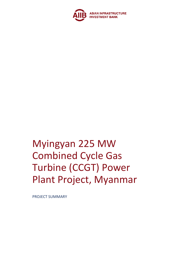

# Myingyan 225 MW Combined Cycle Gas Turbine (CCGT) Power Plant Project, Myanmar

PROJECT SUMMARY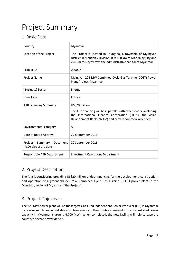# Project Summary

# 1. Basic Data

| Country                                              | Myanmar                                                                                                                                                                                                       |
|------------------------------------------------------|---------------------------------------------------------------------------------------------------------------------------------------------------------------------------------------------------------------|
| Location of the Project                              | The Project is located in Taungtha, a township of Myingyan<br>District in Mandalay Division. It is 108 km to Mandalay City and<br>226 km to Naypyitaw, the administrative capital of Myanmar.                 |
| Project ID                                           | 000007                                                                                                                                                                                                        |
| Project Name                                         | Myingyan 225 MW Combined Cycle Gas Turbine (CCGT) Power<br>Plant Project, Myanmar                                                                                                                             |
| (Business) Sector                                    | Energy                                                                                                                                                                                                        |
| Loan Type                                            | Private                                                                                                                                                                                                       |
| <b>AIIB Financing Summary</b>                        | US\$20 million<br>The AIIB financing will be in parallel with other lenders including<br>the International Finance Corporation ("IFC"), the Asian<br>Development Bank ("ADB") and certain commercial lenders. |
| Environmental category                               | A                                                                                                                                                                                                             |
| Date of Board Approval                               | 27 September 2016                                                                                                                                                                                             |
| Project Summary<br>Document<br>(PSD) disclosure date | 22 September 2016                                                                                                                                                                                             |
| Responsible AIIB Department                          | <b>Investment Operations Department</b>                                                                                                                                                                       |

## 2. Project Description

The AIIB is considering providing US\$20 million of debt financing for the development, construction, and operation of a greenfield 225 MW Combined Cycle Gas Turbine (CCGT) power plant in the Mandalay region of Myanmar ("the Project").

## 3. Project Objectives

The 225 MW power plant will be the largest Gas-Fired Independent Power Producer (IPP) in Myanmar increasing much needed reliable and clean energy to the country's demand (currently installed power capacity in Myanmar is around 4,700 MW). When completed, the new facility will help to ease the country's severe power deficit.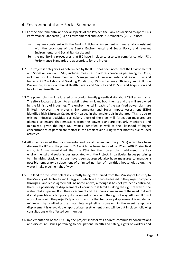#### 4. Environmental and Social Summary

- 4.1 For the environmental and social aspects of the Project, the Bank has decided to apply IFC's Performance Standards (PS) on Environmental and Social Sustainability (2012), since:
	- a) they are consistent with the Bank's Articles of Agreement and materially consistent with the provisions of the Bank's Environmental and Social Policy and relevant Environmental and Social Standards; and
	- b) the monitoring procedures that IFC have in place to ascertain compliance with IFC's Performance Standards are appropriate for the Project.
- 4.2 The Project is Category A as determined by the IFC. It has been noted that the Environmental and Social Action Plan (ESAP) includes measures to address concerns pertaining to IFC PS, including: PS 1 – Assessment and Management of Environmental and Social Risks and Impacts, PS 2 – Labor and Working Conditions, PS 3 – Resource Efficiency and Pollution Prevention, PS 4 – Communal Health, Safety and Security and PS 5 – Land Acquisition and Involuntary Resettlement.
- 4.3 The power plant will be located on a predominantly greenfield site about 29.8 acres in size. The site is located adjacent to an existing steel mill, and both the site and the mill are owned by the Ministry of Industries. The environmental impacts of the gas-fired power plant are limited; however, the project's Environmental and Social Impact Assessment (ESIA) identified high Nitrogen Oxides ( $NO<sub>x</sub>$ ) values in the ambient air in the area. This is due to existing industrial activities, particularly those of the steel mill. Mitigation measures are planned to ensure that emissions from the power plant are regularly monitored and minimized, given the high  $NO<sub>x</sub>$  values identified as well as the likelihood of higher concentrations of particulate matter in the ambient air during winter months due to local activities.
- 4.4 AIIB has reviewed the Environmental and Social Review Summary (ESRS) which has been disclosed by IFC and the project's ESIA which has been disclosed by IFC and ADB. During field visits, AIIB has ascertained that the ESIA for the power plant addressed the key environmental and social issues associated with the Project. In particular, issues pertaining to minimizing stack emissions have been addressed, also have measures to manage a possible temporary displacement of a limited number of non-titled households along the water intake pipeline right of way.
- 4.5 The land for the power plant is currently being transferred from the Ministry of Industry to the Ministry of Electricity and Energy and which will in turn be leased to the project company through a land lease agreement. As noted above, although it has not yet been confirmed, there is a possibility of displacement of about 5 to 8 families along the right of way of the water intake pipeline. Both the Government and the Sponsor are aware of the need to divert if at all possible any temporary displacement of people in the right of way. AIIB and IFC will work closely with the project's Sponsor to ensure that temporary displacement is avoided or minimized by re-aligning the water intake pipeline. However, in the event temporary displacement is unavoidable, appropriate resettlement plans will be put in place, following consultations with affected communities.
- 4.6 Implementation of the ESAP by the project sponsor will address community consultations and disclosure, issues pertaining to occupational health and safety, rights of workers and